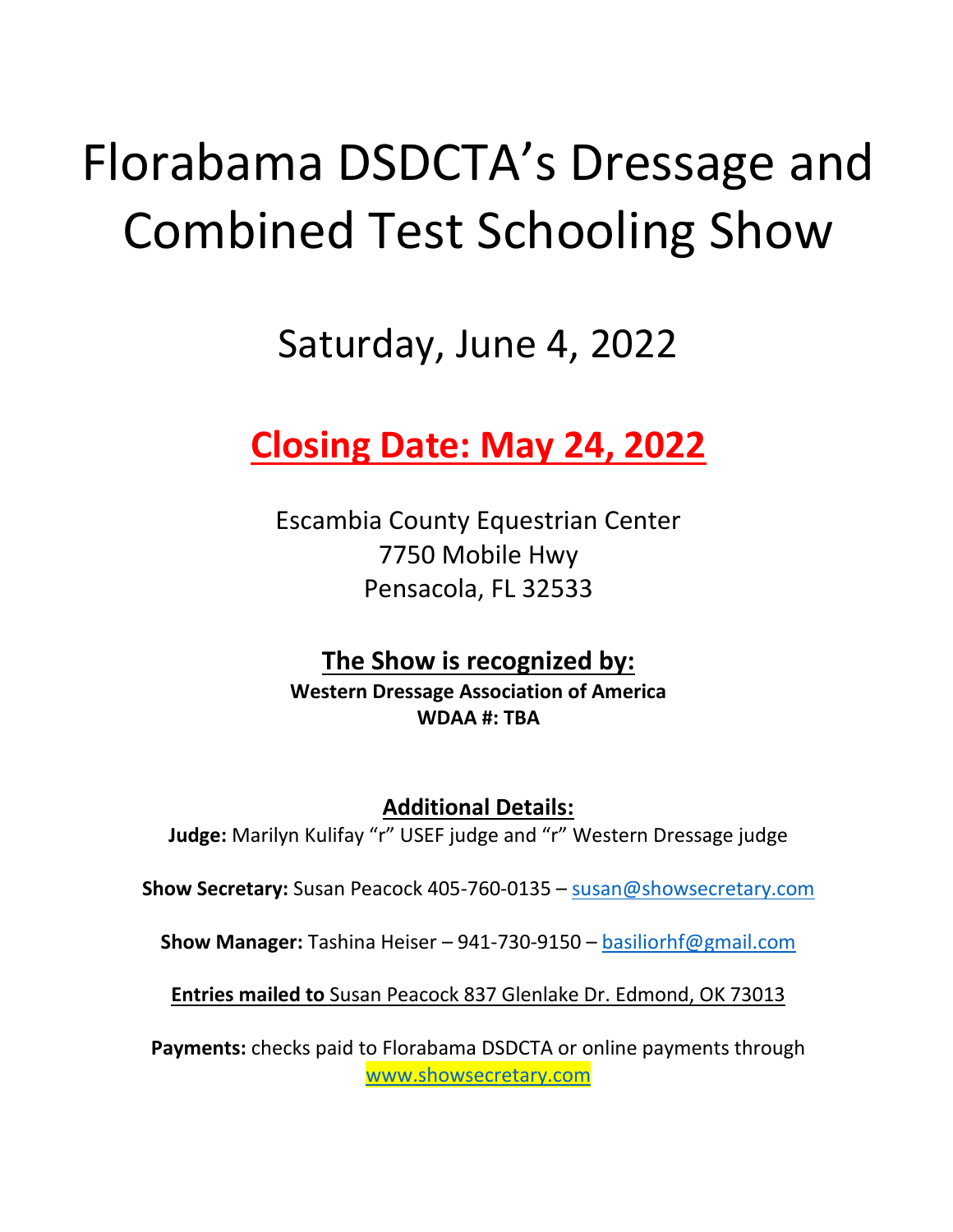# Florabama DSDCTA's Dressage and Combined Test Schooling Show

## Saturday, June 4, 2022

## **Closing Date: May 24, 2022**

Escambia County Equestrian Center 7750 Mobile Hwy Pensacola, FL 32533

**The Show is recognized by: Western Dressage Association of America WDAA #: TBA**

**Additional Details: Judge:** Marilyn Kulifay "r" USEF judge and "r" Western Dressage judge

**Show Secretary:** Susan Peacock 405-760-0135 – [susan@showsecretary.com](mailto:susan@showsecretary.com)

**Show Manager:** Tashina Heiser – 941-730-9150 – [basiliorhf@gmail.com](mailto:basiliorhf@gmail.com)

**Entries mailed to** Susan Peacock 837 Glenlake Dr. Edmond, OK 73013

**Payments:** checks paid to Florabama DSDCTA or online payments through [www.showsecretary.com](https://www.showsecretary.com/Razor/Calendar/Details/981)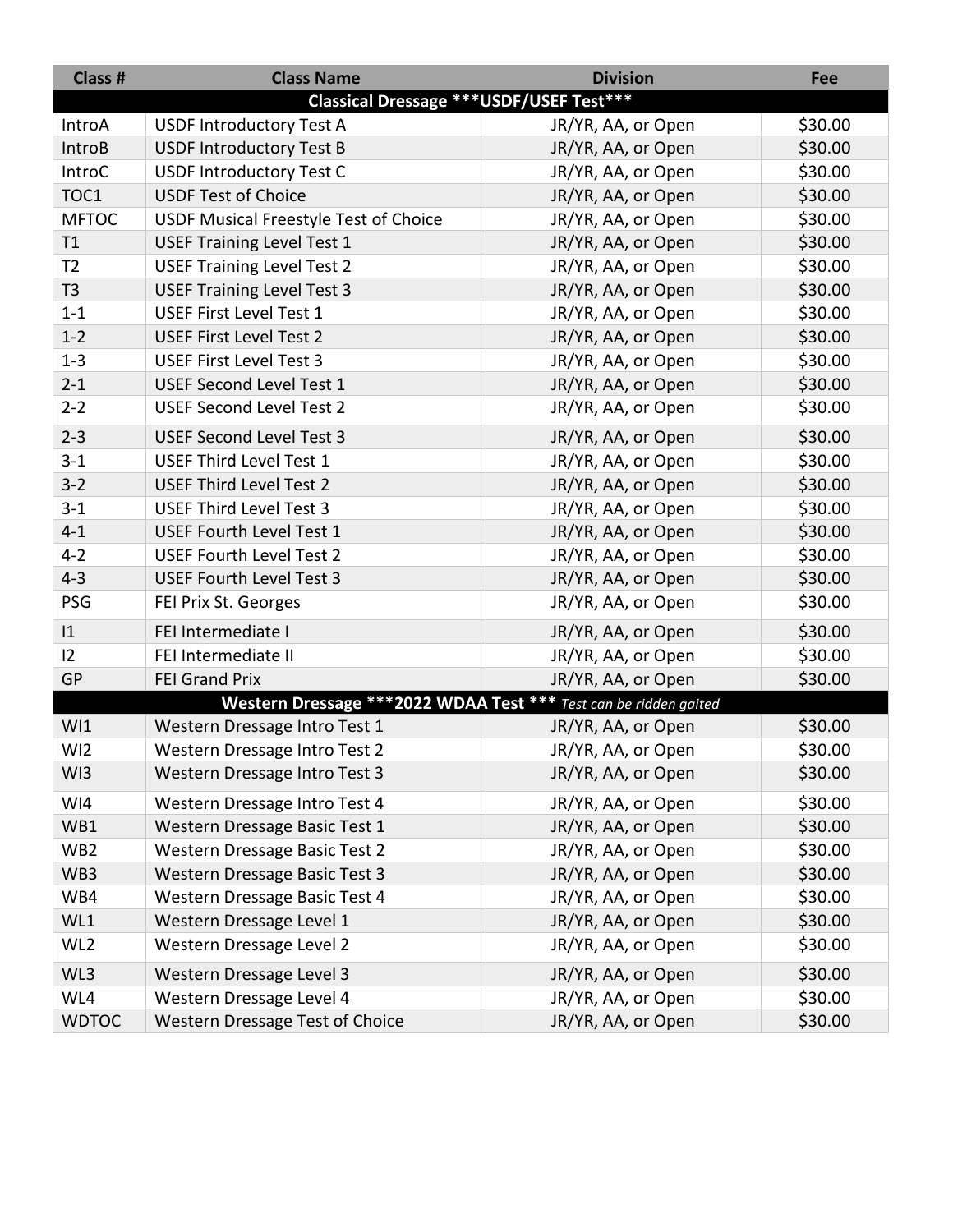| Class #         | <b>Class Name</b>                                                 | <b>Division</b>    | Fee     |
|-----------------|-------------------------------------------------------------------|--------------------|---------|
|                 | <b>Classical Dressage *** USDF/USEF Test***</b>                   |                    |         |
| IntroA          | <b>USDF Introductory Test A</b>                                   | JR/YR, AA, or Open | \$30.00 |
| <b>IntroB</b>   | <b>USDF Introductory Test B</b>                                   | JR/YR, AA, or Open | \$30.00 |
| IntroC          | <b>USDF Introductory Test C</b>                                   | JR/YR, AA, or Open | \$30.00 |
| TOC1            | <b>USDF Test of Choice</b>                                        | JR/YR, AA, or Open | \$30.00 |
| <b>MFTOC</b>    | USDF Musical Freestyle Test of Choice                             | JR/YR, AA, or Open | \$30.00 |
| T1              | <b>USEF Training Level Test 1</b>                                 | JR/YR, AA, or Open | \$30.00 |
| T <sub>2</sub>  | <b>USEF Training Level Test 2</b>                                 | JR/YR, AA, or Open | \$30.00 |
| T <sub>3</sub>  | <b>USEF Training Level Test 3</b>                                 | JR/YR, AA, or Open | \$30.00 |
| $1 - 1$         | USEF First Level Test 1                                           | JR/YR, AA, or Open | \$30.00 |
| $1 - 2$         | <b>USEF First Level Test 2</b>                                    | JR/YR, AA, or Open | \$30.00 |
| $1 - 3$         | <b>USEF First Level Test 3</b>                                    | JR/YR, AA, or Open | \$30.00 |
| $2 - 1$         | <b>USEF Second Level Test 1</b>                                   | JR/YR, AA, or Open | \$30.00 |
| $2 - 2$         | <b>USEF Second Level Test 2</b>                                   | JR/YR, AA, or Open | \$30.00 |
| $2 - 3$         | <b>USEF Second Level Test 3</b>                                   | JR/YR, AA, or Open | \$30.00 |
| $3 - 1$         | USEF Third Level Test 1                                           | JR/YR, AA, or Open | \$30.00 |
| $3 - 2$         | <b>USEF Third Level Test 2</b>                                    | JR/YR, AA, or Open | \$30.00 |
| $3 - 1$         | <b>USEF Third Level Test 3</b>                                    | JR/YR, AA, or Open | \$30.00 |
| $4 - 1$         | <b>USEF Fourth Level Test 1</b>                                   | JR/YR, AA, or Open | \$30.00 |
| $4 - 2$         | <b>USEF Fourth Level Test 2</b>                                   | JR/YR, AA, or Open | \$30.00 |
| $4 - 3$         | <b>USEF Fourth Level Test 3</b>                                   | JR/YR, AA, or Open | \$30.00 |
| <b>PSG</b>      | FEI Prix St. Georges                                              | JR/YR, AA, or Open | \$30.00 |
| $ 1\rangle$     | FEI Intermediate I                                                | JR/YR, AA, or Open | \$30.00 |
| 12              | FEI Intermediate II                                               | JR/YR, AA, or Open | \$30.00 |
| GP              | <b>FEI Grand Prix</b>                                             | JR/YR, AA, or Open | \$30.00 |
|                 | Western Dressage *** 2022 WDAA Test *** Test can be ridden gaited |                    |         |
| WI1             | Western Dressage Intro Test 1                                     | JR/YR, AA, or Open | \$30.00 |
| WI <sub>2</sub> | Western Dressage Intro Test 2                                     | JR/YR, AA, or Open | \$30.00 |
| WI3             | Western Dressage Intro Test 3                                     | JR/YR, AA, or Open | \$30.00 |
| WI4             | Western Dressage Intro Test 4                                     | JR/YR, AA, or Open | \$30.00 |
| WB1             | Western Dressage Basic Test 1                                     | JR/YR, AA, or Open | \$30.00 |
| WB <sub>2</sub> | Western Dressage Basic Test 2                                     | JR/YR, AA, or Open | \$30.00 |
| WB3             | Western Dressage Basic Test 3                                     | JR/YR, AA, or Open | \$30.00 |
| WB4             | Western Dressage Basic Test 4                                     | JR/YR, AA, or Open | \$30.00 |
| WL1             | Western Dressage Level 1                                          | JR/YR, AA, or Open | \$30.00 |
| WL <sub>2</sub> | Western Dressage Level 2                                          | JR/YR, AA, or Open | \$30.00 |
| WL3             | Western Dressage Level 3                                          | JR/YR, AA, or Open | \$30.00 |
| WL4             | Western Dressage Level 4                                          | JR/YR, AA, or Open | \$30.00 |
| <b>WDTOC</b>    | Western Dressage Test of Choice                                   | JR/YR, AA, or Open | \$30.00 |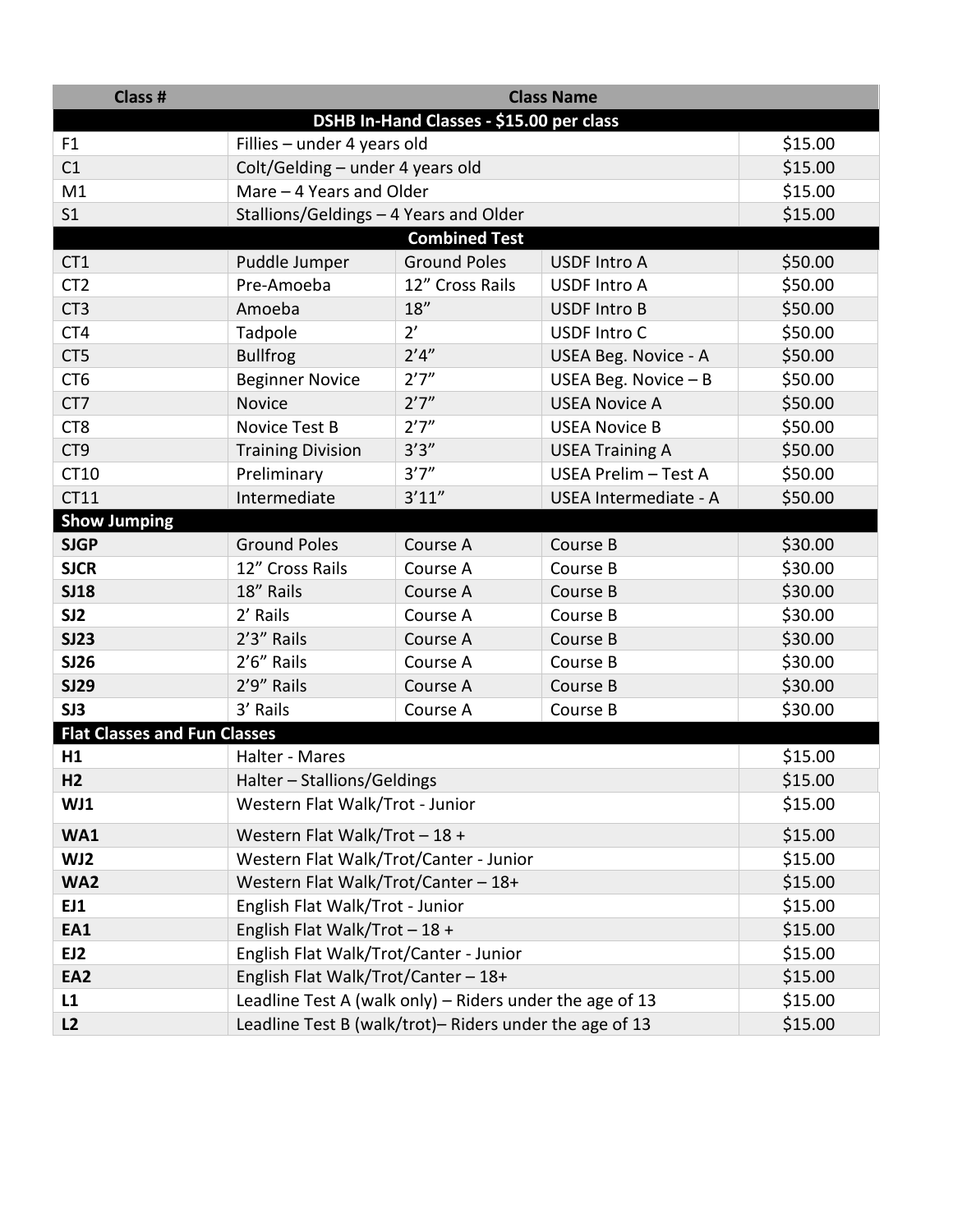| Class #                             | <b>Class Name</b>                                        |                                          |                        |         |
|-------------------------------------|----------------------------------------------------------|------------------------------------------|------------------------|---------|
|                                     |                                                          | DSHB In-Hand Classes - \$15.00 per class |                        |         |
| F <sub>1</sub>                      | Fillies - under 4 years old                              |                                          |                        | \$15.00 |
| C1                                  | Colt/Gelding - under 4 years old                         |                                          |                        | \$15.00 |
| M1                                  | Mare - 4 Years and Older                                 |                                          |                        | \$15.00 |
| S <sub>1</sub>                      | Stallions/Geldings - 4 Years and Older                   |                                          |                        | \$15.00 |
|                                     |                                                          | <b>Combined Test</b>                     |                        |         |
| CT1                                 | Puddle Jumper                                            | <b>Ground Poles</b>                      | <b>USDF Intro A</b>    | \$50.00 |
| CT <sub>2</sub>                     | Pre-Amoeba                                               | 12" Cross Rails                          | <b>USDF Intro A</b>    | \$50.00 |
| CT <sub>3</sub>                     | Amoeba                                                   | 18''                                     | <b>USDF Intro B</b>    | \$50.00 |
| CT4                                 | Tadpole                                                  | 2'                                       | <b>USDF Intro C</b>    | \$50.00 |
| CT5                                 | <b>Bullfrog</b>                                          | 2'4''                                    | USEA Beg. Novice - A   | \$50.00 |
| CT <sub>6</sub>                     | <b>Beginner Novice</b>                                   | 2'7''                                    | USEA Beg. Novice $- B$ | \$50.00 |
| CT7                                 | <b>Novice</b>                                            | 2'7''                                    | <b>USEA Novice A</b>   | \$50.00 |
| CT8                                 | Novice Test B                                            | 2'7''                                    | <b>USEA Novice B</b>   | \$50.00 |
| CT <sub>9</sub>                     | <b>Training Division</b>                                 | 3'3''                                    | <b>USEA Training A</b> | \$50.00 |
| CT10                                | Preliminary                                              | 3'7''                                    | USEA Prelim - Test A   | \$50.00 |
| CT11                                | Intermediate                                             | 3'11''                                   | USEA Intermediate - A  | \$50.00 |
| <b>Show Jumping</b>                 |                                                          |                                          |                        |         |
| <b>SJGP</b>                         | <b>Ground Poles</b>                                      | Course A                                 | Course B               | \$30.00 |
| <b>SJCR</b>                         | 12" Cross Rails                                          | Course A                                 | Course B               | \$30.00 |
| <b>SJ18</b>                         | 18" Rails                                                | Course A                                 | Course B               | \$30.00 |
| SJ <sub>2</sub>                     | 2' Rails                                                 | Course A                                 | Course B               | \$30.00 |
| <b>SJ23</b>                         | 2'3" Rails                                               | Course A                                 | Course B               | \$30.00 |
| <b>SJ26</b>                         | 2'6" Rails                                               | Course A                                 | Course B               | \$30.00 |
| <b>SJ29</b>                         | 2'9" Rails                                               | Course A                                 | Course B               | \$30.00 |
| SJ3                                 | 3' Rails                                                 | Course A                                 | Course B               | \$30.00 |
| <b>Flat Classes and Fun Classes</b> |                                                          |                                          |                        |         |
| H1                                  | Halter - Mares                                           |                                          |                        | \$15.00 |
| H <sub>2</sub>                      | Halter - Stallions/Geldings                              |                                          |                        | \$15.00 |
| WJ1                                 | Western Flat Walk/Trot - Junior                          |                                          |                        | \$15.00 |
| <b>WA1</b>                          | Western Flat Walk/Trot - 18 +                            |                                          |                        | \$15.00 |
| WJ2                                 | Western Flat Walk/Trot/Canter - Junior                   |                                          |                        | \$15.00 |
| <b>WA2</b>                          | Western Flat Walk/Trot/Canter - 18+                      |                                          |                        | \$15.00 |
| EJ1                                 | English Flat Walk/Trot - Junior                          |                                          |                        | \$15.00 |
| EA1                                 | English Flat Walk/Trot - 18 +                            |                                          |                        | \$15.00 |
| EJ2                                 | English Flat Walk/Trot/Canter - Junior                   |                                          |                        | \$15.00 |
| EA <sub>2</sub>                     | English Flat Walk/Trot/Canter - 18+                      |                                          |                        | \$15.00 |
| L1                                  | Leadline Test A (walk only) - Riders under the age of 13 |                                          |                        | \$15.00 |
| L2                                  | Leadline Test B (walk/trot)- Riders under the age of 13  |                                          |                        | \$15.00 |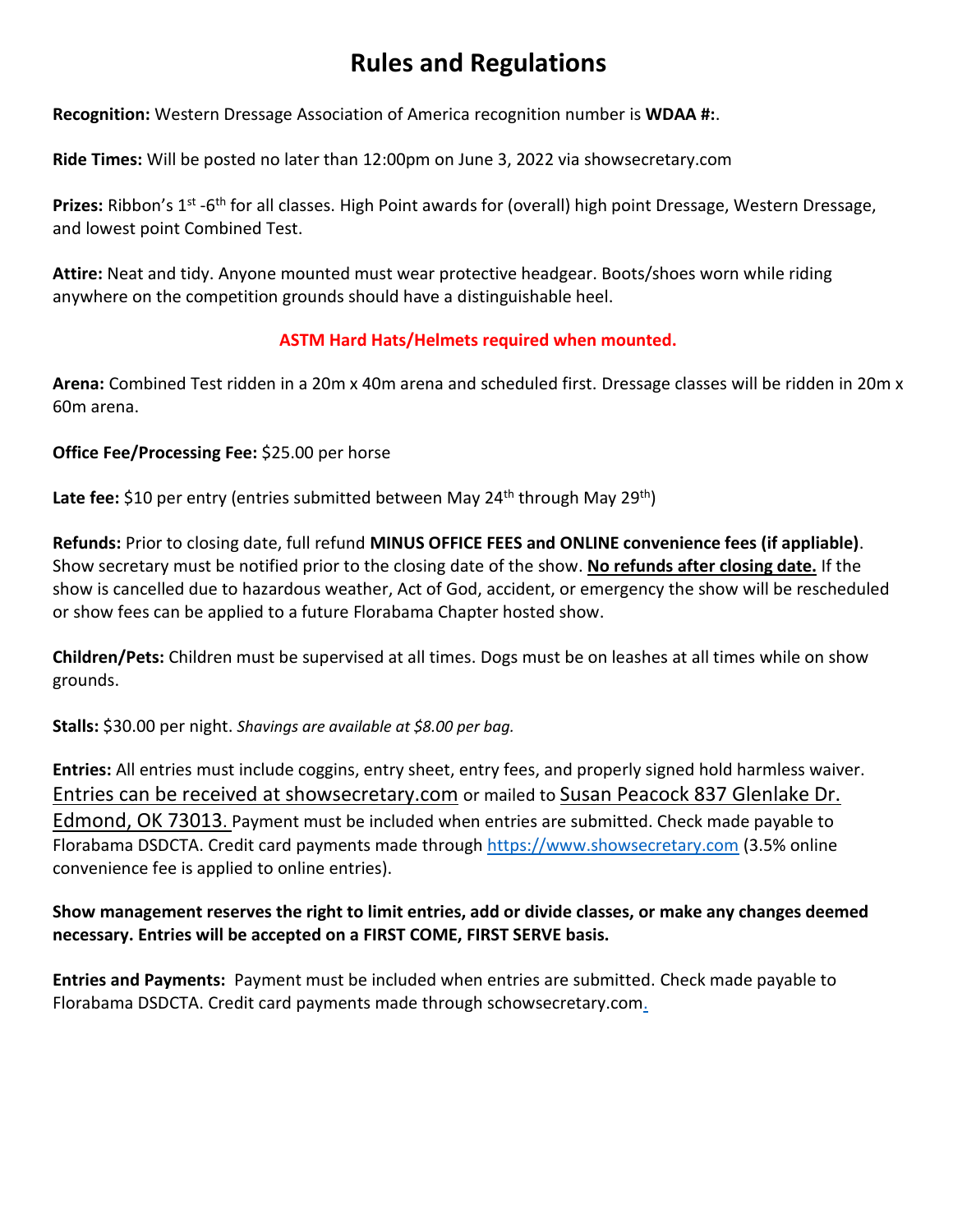## **Rules and Regulations**

**Recognition:** Western Dressage Association of America recognition number is **WDAA #:**.

**Ride Times:** Will be posted no later than 12:00pm on June 3, 2022 via showsecretary.com

Prizes: Ribbon's 1<sup>st</sup> -6<sup>th</sup> for all classes. High Point awards for (overall) high point Dressage, Western Dressage, and lowest point Combined Test.

**Attire:** Neat and tidy. Anyone mounted must wear protective headgear. Boots/shoes worn while riding anywhere on the competition grounds should have a distinguishable heel.

### **ASTM Hard Hats/Helmets required when mounted.**

**Arena:** Combined Test ridden in a 20m x 40m arena and scheduled first. Dressage classes will be ridden in 20m x 60m arena.

### **Office Fee/Processing Fee:** \$25.00 per horse

Late fee: \$10 per entry (entries submitted between May 24<sup>th</sup> through May 29<sup>th</sup>)

**Refunds:** Prior to closing date, full refund **MINUS OFFICE FEES and ONLINE convenience fees (if appliable)**. Show secretary must be notified prior to the closing date of the show. **No refunds after closing date.** If the show is cancelled due to hazardous weather, Act of God, accident, or emergency the show will be rescheduled or show fees can be applied to a future Florabama Chapter hosted show.

**Children/Pets:** Children must be supervised at all times. Dogs must be on leashes at all times while on show grounds.

**Stalls:** \$30.00 per night. *Shavings are available at \$8.00 per bag.*

**Entries:** All entries must include coggins, entry sheet, entry fees, and properly signed hold harmless waiver. Entries can be received at showsecretary.com or mailed to Susan Peacock 837 Glenlake Dr. Edmond, OK 73013. Payment must be included when entries are submitted. Check made payable to Florabama DSDCTA. Credit card payments made through [https://www.showsecretary.com](https://www.showsecretary.com/) (3.5% online convenience fee is applied to online entries).

### **Show management reserves the right to limit entries, add or divide classes, or make any changes deemed necessary. Entries will be accepted on a FIRST COME, FIRST SERVE basis.**

**Entries and Payments:** Payment must be included when entries are submitted. Check made payable to Florabama DSDCTA. Credit card payments made through schowsecretary.com.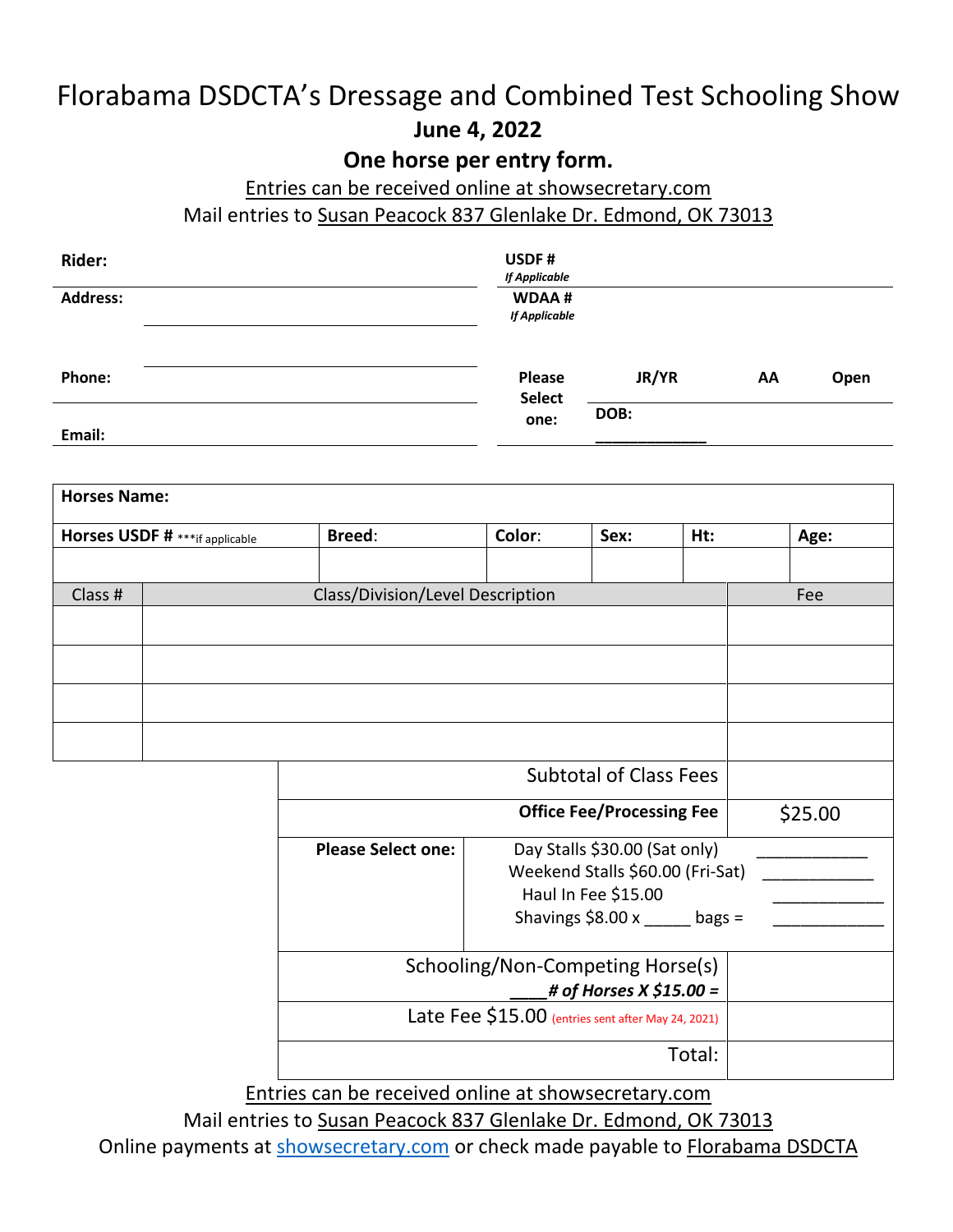## Florabama DSDCTA's Dressage and Combined Test Schooling Show **June 4, 2022**

## **One horse per entry form.**

## Entries can be received online at showsecretary.com

Mail entries to Susan Peacock 837 Glenlake Dr. Edmond, OK 73013

| <b>Rider:</b>   | USDF#<br><b>If Applicable</b> |       |    |      |
|-----------------|-------------------------------|-------|----|------|
| <b>Address:</b> | WDAA#<br><b>If Applicable</b> |       |    |      |
| Phone:          | Please<br><b>Select</b>       | JR/YR | AA | Open |
| Email:          | one:                          | DOB:  |    |      |

| <b>Horses Name:</b>            |               |                                  |                                                                                                                                                                                                                                    |     |                |
|--------------------------------|---------------|----------------------------------|------------------------------------------------------------------------------------------------------------------------------------------------------------------------------------------------------------------------------------|-----|----------------|
| Horses USDF # ***if applicable | <b>Breed:</b> | Color:                           | Sex:                                                                                                                                                                                                                               | Ht: | Age:           |
|                                |               |                                  |                                                                                                                                                                                                                                    |     |                |
| Class #                        |               | Class/Division/Level Description |                                                                                                                                                                                                                                    |     | Fee            |
|                                |               |                                  |                                                                                                                                                                                                                                    |     |                |
|                                |               |                                  |                                                                                                                                                                                                                                    |     |                |
|                                |               |                                  |                                                                                                                                                                                                                                    |     |                |
|                                |               |                                  |                                                                                                                                                                                                                                    |     |                |
|                                |               |                                  |                                                                                                                                                                                                                                    |     |                |
|                                |               |                                  |                                                                                                                                                                                                                                    |     |                |
|                                |               |                                  | <b>Subtotal of Class Fees</b>                                                                                                                                                                                                      |     |                |
|                                |               |                                  | $\bullet$ contracts to the contract of the contract of the contract of the contract of the contract of the contract of the contract of the contract of the contract of the contract of the contract of the contract of the contrac |     | $\blacksquare$ |

|                           | <b>Office Fee/Processing Fee</b>                                                                                           | \$25.00 |
|---------------------------|----------------------------------------------------------------------------------------------------------------------------|---------|
| <b>Please Select one:</b> | Day Stalls \$30.00 (Sat only)<br>Weekend Stalls \$60.00 (Fri-Sat)<br>Haul In Fee \$15.00<br>Shavings $$8.00 x$<br>$bags =$ |         |
|                           | Schooling/Non-Competing Horse(s)                                                                                           |         |
|                           | # of Horses X \$15.00 =                                                                                                    |         |
|                           | Late Fee \$15.00 (entries sent after May 24, 2021)                                                                         |         |
|                           | Total:                                                                                                                     |         |

Entries can be received online at showsecretary.com

Mail entries to Susan Peacock 837 Glenlake Dr. Edmond, OK 73013

Online payments at [showsecretary.com](https://www.showsecretary.com/Razor/Calendar/Details/979) or check made payable to Florabama DSDCTA